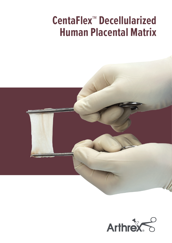# **CentaFlex™ Decellularized Human Placental Matrix**



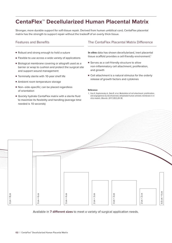## **CentaFlex™ Decellularized Human Placental Matrix**

Stronger, more durable support for soft-tissue repair. Derived from human umbilical cord, CentaFlex placental matrix has the strength to support repair without the tradeoff of an overly thick tissue.

### Features and Benefits

- Robust and strong enough to hold a suture
- Flexible to use across a wide variety of applications
- Biological membrane covering or allograft used as a barrier or wrap to cushion and protect the surgical site and support wound management
- Terminally sterile with 10-year shelf life
- Ambient room temperature storage
- Non–side-specific; can be placed regardless of orientation
- Quickly hydrate CentaFlex matrix with a sterile fluid to maximize its flexibility and handling (average time needed is 10 seconds)

### The CentaFlex Placental Matrix Difference

**In vitro** data has shown decellularized, inert placental tissue scaffold provides a cell-friendly environment.<sup>1</sup>

- Serves as a cell-friendly structure to allow non-inflammatory cell attachment, proliferation, and growth
- Cell attachment is a natural stimulus for the orderly release of growth factors and cytokines

#### **Reference**

1. Guo X, Kaplunovsky A, Zaka R, et al. Modulation of cell attachment, proliferation, and angiogenesis by decellularized, dehydrated human amniotic membrane in in vitro models. *Wounds*. 2017;29(1):28-38.



Available in **7 different sizes** to meet a variety of surgical application needs.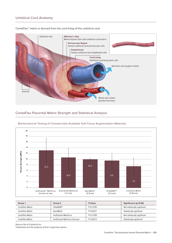#### Umbilical Cord Anatomy



CentaFlex™ matrix is derived from the cord lining of the umbilical cord.

#### CentaFlex Placental Matrix Strength and Statistical Analysis



Biomechanical Testing of Commercially Available Soft-Tissue Augmentation Materials

| Group 1                 | Group 2                      | P-Value      | Significance (p<0.05)         |
|-------------------------|------------------------------|--------------|-------------------------------|
| <b>CentaFlex Matrix</b> | OrthADAPT                    | $P=0.1635$   | Not statistically significant |
| CentaFlex Matrix        | SportMesh                    | $P=0.0221$   | Statistically significant     |
| CentaFlex Matrix        | GraftJacket MaxForce         | $P=0.1039$   | Not statistically significant |
| CentaFlex Matrix        | GraftJacket MaxForce Extreme | $P = 0.0012$ | Statistically significant     |

Data on file at Celularity Inc.

Trademarks are the property of their respective owners.